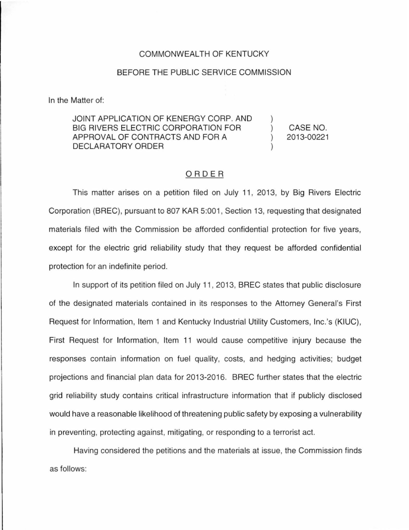## COMMONWEALTH OF KENTUCKY

## BEFORE THE PUBLIC SERVICE COMMISSION

In the Matter of:

## JOINT APPLICATION OF KENERGY CORP. AND BIG RIVERS ELECTRIC CORPORATION FOR APPROVAL OF CONTRACTS AND FOR A DECLARATORY ORDER ) )

) CASE NO. ) 2013-00221

## ORDER

This matter arises on a petition filed on July 11 , 2013, by Big Rivers Electric Corporation (BREC), pursuant to 807 KAR 5:001 , Section 13, requesting that designated materials filed with the Commission be afforded confidential protection for five years, except for the electric grid reliability study that they request be afforded confidential protection for an indefinite period.

In support of its petition filed on July 11 , 2013, BREC states that public disclosure of the designated materials contained in its responses to the Attorney General's First Request for Information, Item 1 and Kentucky Industrial Utility Customers, lnc.'s (KIUC), First Request for Information, Item 11 would cause competitive injury because the responses contain information on fuel quality, costs, and hedging activities; budget projections and financial plan data for 2013-2016. BREC further states that the electric grid reliability study contains critical infrastructure information that if publicly disclosed would have a reasonable likelihood of threatening public safety by exposing a vulnerability in preventing, protecting against, mitigating, or responding to a terrorist act.

Having considered the petitions and the materials at issue, the Commission finds as follows: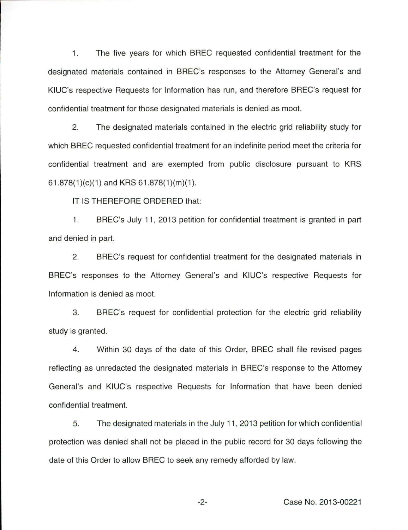1. The five years for which BREC requested confidential treatment for the designated materials contained in BREC's responses to the Attorney General's and KIUC's respective Requests for Information has run, and therefore BREC's request for confidential treatment for those designated materials is denied as moot.

2. The designated materials contained in the electric grid reliability study for which BREC requested confidential treatment for an indefinite period meet the criteria for confidential treatment and are exempted from public disclosure pursuant to KRS  $61.878(1)(c)(1)$  and KRS  $61.878(1)(m)(1)$ .

IT IS THEREFORE ORDERED that:

1. BREC's July 11 , 2013 petition for confidential treatment is granted in part and denied in part.

2. BREC's request for confidential treatment for the designated materials in BREC's responses to the Attorney General's and KIUC's respective Requests for Information is denied as moot.

3. BREC's request for confidential protection for the electric grid reliability study is granted.

4. Within 30 days of the date of this Order, BREC shall file revised pages reflecting as unredacted the designated materials in BREC's response to the Attorney General's and KIUC's respective Requests for Information that have been denied confidential treatment.

5. The designated materials in the July 11 , 2013 petition for which confidential protection was denied shall not be placed in the public record for 30 days following the date of this Order to allow BREC to seek any remedy afforded by law.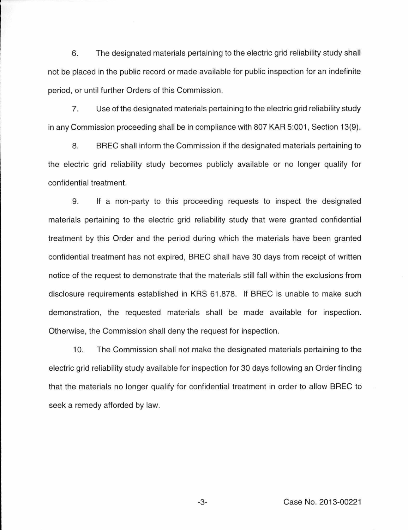6. The designated materials pertaining to the electric grid reliability study shall not be placed in the public record or made available for public inspection for an indefinite period, or until further Orders of this Commission.

7. Use of the designated materials pertaining to the electric grid reliability study in any Commission proceeding shall be in compliance with 807 KAR 5:001 , Section 13(9).

8. BREC shall inform the Commission if the designated materials pertaining to the electric grid reliability study becomes publicly available or no longer qualify for confidential treatment.

9. If a non-party to this proceeding requests to inspect the designated materials pertaining to the electric grid reliability study that were granted confidential treatment by this Order and the period during which the materials have been granted confidential treatment has not expired, BREC shall have 30 days from receipt of written notice of the request to demonstrate that the materials still fall within the exclusions from disclosure requirements established in KRS 61.878. If BREC is unable to make such demonstration, the requested materials shall be made available for inspection. Otherwise, the Commission shall deny the request for inspection.

10. The Commission shall not make the designated materials pertaining to the electric grid reliability study available for inspection for 30 days following an Order finding that the materials no longer qualify for confidential treatment in order to allow BREC to seek a remedy afforded by law.

-3- Case No. 2013-00221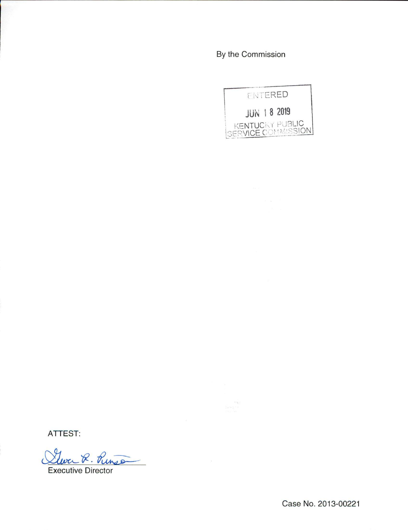By the Commission



ATTEST:

Glever R. Punso

**Executive Director**